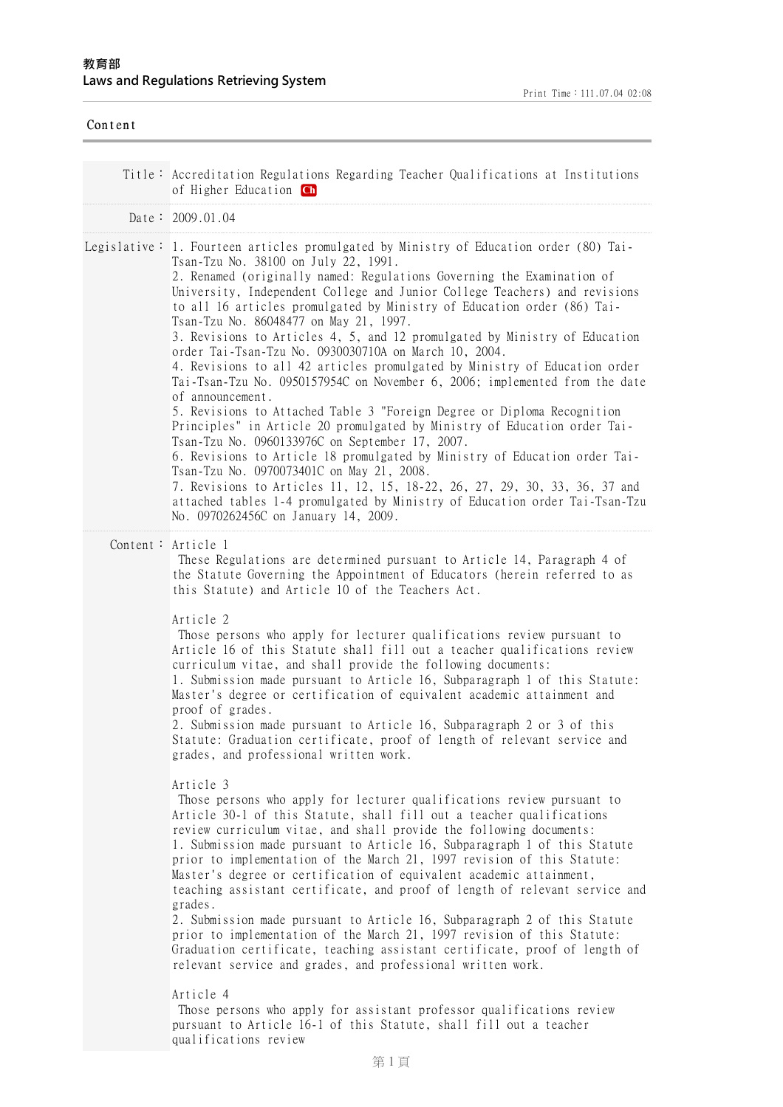| Content |                                                                                                                                                                                                                                                                                                                                                                                                                                                                                                                                                                                                                                                                                                                                                                                                                                                                                                                                                                                                                                                                                                                                                                                                                                                                                                                                                                                                                                                                                                                                                                                                                                                                                                                                                                                                                                                                                  |
|---------|----------------------------------------------------------------------------------------------------------------------------------------------------------------------------------------------------------------------------------------------------------------------------------------------------------------------------------------------------------------------------------------------------------------------------------------------------------------------------------------------------------------------------------------------------------------------------------------------------------------------------------------------------------------------------------------------------------------------------------------------------------------------------------------------------------------------------------------------------------------------------------------------------------------------------------------------------------------------------------------------------------------------------------------------------------------------------------------------------------------------------------------------------------------------------------------------------------------------------------------------------------------------------------------------------------------------------------------------------------------------------------------------------------------------------------------------------------------------------------------------------------------------------------------------------------------------------------------------------------------------------------------------------------------------------------------------------------------------------------------------------------------------------------------------------------------------------------------------------------------------------------|
|         | Title: Accreditation Regulations Regarding Teacher Qualifications at Institutions<br>of Higher Education Ch                                                                                                                                                                                                                                                                                                                                                                                                                                                                                                                                                                                                                                                                                                                                                                                                                                                                                                                                                                                                                                                                                                                                                                                                                                                                                                                                                                                                                                                                                                                                                                                                                                                                                                                                                                      |
|         | Date: 2009.01.04                                                                                                                                                                                                                                                                                                                                                                                                                                                                                                                                                                                                                                                                                                                                                                                                                                                                                                                                                                                                                                                                                                                                                                                                                                                                                                                                                                                                                                                                                                                                                                                                                                                                                                                                                                                                                                                                 |
|         | Legislative: 1. Fourteen articles promulgated by Ministry of Education order (80) Tai-<br>Tsan-Tzu No. 38100 on July 22, 1991.<br>2. Renamed (originally named: Regulations Governing the Examination of<br>University, Independent College and Junior College Teachers) and revisions<br>to all 16 articles promulgated by Ministry of Education order (86) Tai-<br>Tsan-Tzu No. 86048477 on May 21, 1997.<br>3. Revisions to Articles 4, 5, and 12 promulgated by Ministry of Education<br>order Tai-Tsan-Tzu No. 0930030710A on March 10, 2004.<br>4. Revisions to all 42 articles promulgated by Ministry of Education order<br>Tai-Tsan-Tzu No. 0950157954C on November 6, 2006; implemented from the date<br>of announcement.<br>5. Revisions to Attached Table 3 "Foreign Degree or Diploma Recognition<br>Principles" in Article 20 promulgated by Ministry of Education order Tai-<br>Tsan-Tzu No. 0960133976C on September 17, 2007.<br>6. Revisions to Article 18 promulgated by Ministry of Education order Tai-<br>Tsan-Tzu No. 0970073401C on May 21, 2008.<br>7. Revisions to Articles 11, 12, 15, 18-22, 26, 27, 29, 30, 33, 36, 37 and<br>attached tables 1-4 promulgated by Ministry of Education order Tai-Tsan-Tzu<br>No. 0970262456C on January 14, 2009.                                                                                                                                                                                                                                                                                                                                                                                                                                                                                                                                                                                                   |
|         | Content: Article 1<br>These Regulations are determined pursuant to Article 14, Paragraph 4 of<br>the Statute Governing the Appointment of Educators (herein referred to as<br>this Statute) and Article 10 of the Teachers Act.<br>Article 2<br>Those persons who apply for lecturer qualifications review pursuant to<br>Article 16 of this Statute shall fill out a teacher qualifications review<br>curriculum vitae, and shall provide the following documents:<br>1. Submission made pursuant to Article 16, Subparagraph 1 of this Statute:<br>Master's degree or certification of equivalent academic attainment and<br>proof of grades.<br>2. Submission made pursuant to Article 16, Subparagraph 2 or 3 of this<br>Statute: Graduation certificate, proof of length of relevant service and<br>grades, and professional written work.<br>Article 3<br>Those persons who apply for lecturer qualifications review pursuant to<br>Article 30-1 of this Statute, shall fill out a teacher qualifications<br>review curriculum vitae, and shall provide the following documents:<br>1. Submission made pursuant to Article 16, Subparagraph 1 of this Statute<br>prior to implementation of the March 21, 1997 revision of this Statute:<br>Master's degree or certification of equivalent academic attainment,<br>teaching assistant certificate, and proof of length of relevant service and<br>grades.<br>2. Submission made pursuant to Article 16, Subparagraph 2 of this Statute<br>prior to implementation of the March 21, 1997 revision of this Statute:<br>Graduation certificate, teaching assistant certificate, proof of length of<br>relevant service and grades, and professional written work.<br>Article 4<br>Those persons who apply for assistant professor qualifications review<br>pursuant to Article 16-1 of this Statute, shall fill out a teacher |

qualifications review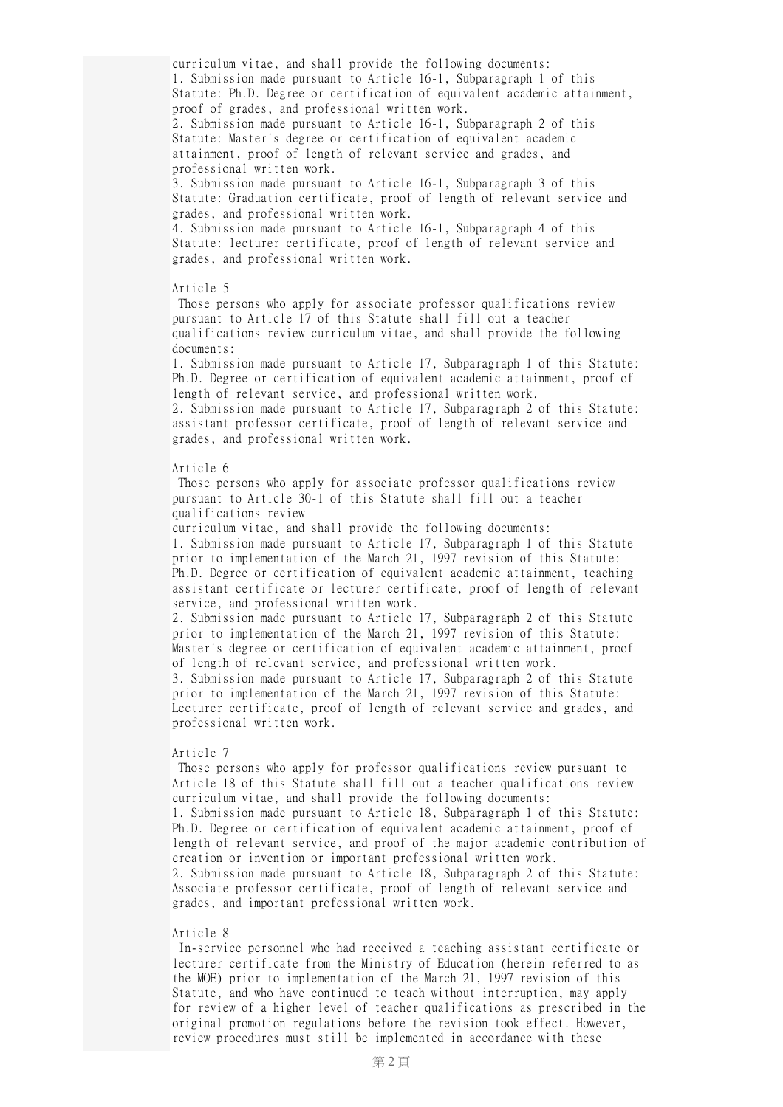curriculum vitae, and shall provide the following documents: 1. Submission made pursuant to Article 16-1, Subparagraph 1 of this Statute: Ph.D. Degree or certification of equivalent academic attainment, proof of grades, and professional written work.

2. Submission made pursuant to Article 16-1, Subparagraph 2 of this Statute: Master's degree or certification of equivalent academic attainment, proof of length of relevant service and grades, and professional written work.

3. Submission made pursuant to Article 16-1, Subparagraph 3 of this Statute: Graduation certificate, proof of length of relevant service and grades, and professional written work.

4. Submission made pursuant to Article 16-1, Subparagraph 4 of this Statute: lecturer certificate, proof of length of relevant service and grades, and professional written work.

### Article 5

Those persons who apply for associate professor qualifications review pursuant to Article 17 of this Statute shall fill out a teacher qualifications review curriculum vitae, and shall provide the following documents:

1. Submission made pursuant to Article 17, Subparagraph 1 of this Statute: Ph.D. Degree or certification of equivalent academic attainment, proof of length of relevant service, and professional written work. 2. Submission made pursuant to Article 17, Subparagraph 2 of this Statute:

assistant professor certificate, proof of length of relevant service and grades, and professional written work.

# Article 6

Those persons who apply for associate professor qualifications review pursuant to Article 30-1 of this Statute shall fill out a teacher qualifications review

curriculum vitae, and shall provide the following documents: 1. Submission made pursuant to Article 17, Subparagraph 1 of this Statute prior to implementation of the March 21, 1997 revision of this Statute: Ph.D. Degree or certification of equivalent academic attainment, teaching assistant certificate or lecturer certificate, proof of length of relevant service, and professional written work.

2. Submission made pursuant to Article 17, Subparagraph 2 of this Statute prior to implementation of the March 21, 1997 revision of this Statute: Master's degree or certification of equivalent academic attainment, proof of length of relevant service, and professional written work.

3. Submission made pursuant to Article 17, Subparagraph 2 of this Statute prior to implementation of the March 21, 1997 revision of this Statute: Lecturer certificate, proof of length of relevant service and grades, and professional written work.

# Article 7

Those persons who apply for professor qualifications review pursuant to Article 18 of this Statute shall fill out a teacher qualifications review curriculum vitae, and shall provide the following documents:

1. Submission made pursuant to Article 18, Subparagraph 1 of this Statute: Ph.D. Degree or certification of equivalent academic attainment, proof of length of relevant service, and proof of the major academic contribution of creation or invention or important professional written work.

2. Submission made pursuant to Article 18, Subparagraph 2 of this Statute: Associate professor certificate, proof of length of relevant service and grades, and important professional written work.

## Article 8

In-service personnel who had received a teaching assistant certificate or lecturer certificate from the Ministry of Education (herein referred to as the MOE) prior to implementation of the March 21, 1997 revision of this Statute, and who have continued to teach without interruption, may apply for review of a higher level of teacher qualifications as prescribed in the original promotion regulations before the revision took effect. However, review procedures must still be implemented in accordance with these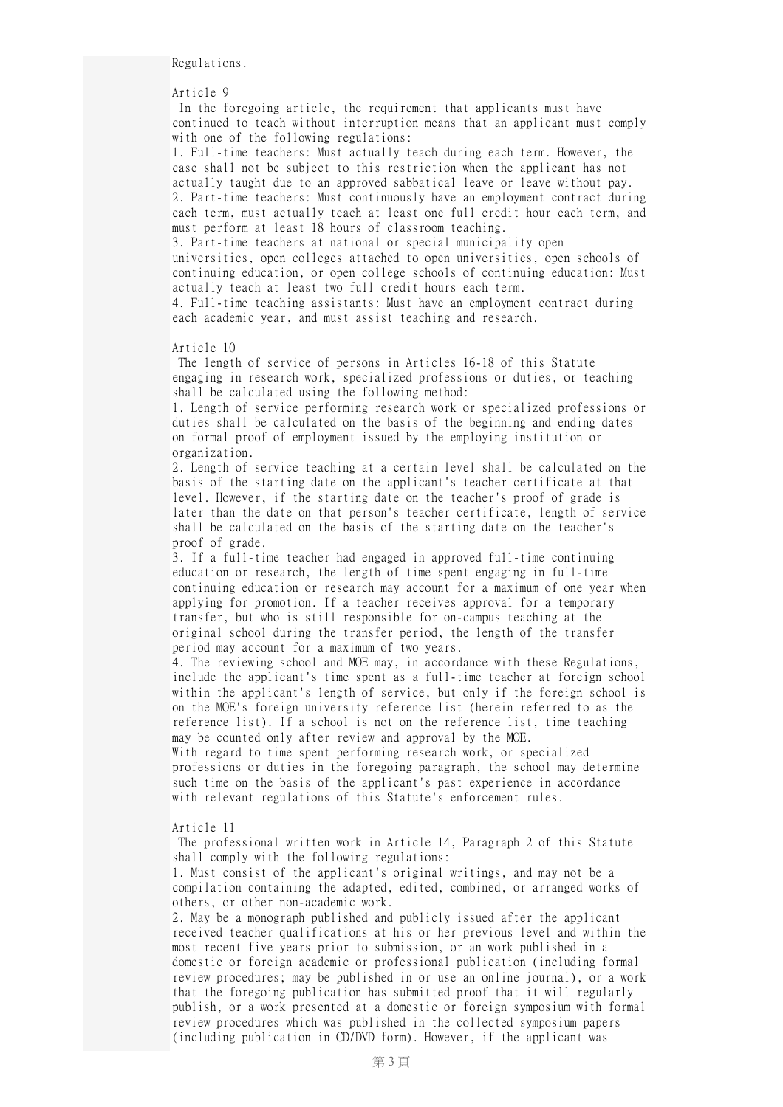Regulations.

Article 9

In the foregoing article, the requirement that applicants must have continued to teach without interruption means that an applicant must comply with one of the following regulations:

1. Full-time teachers: Must actually teach during each term. However, the case shall not be subject to this restriction when the applicant has not actually taught due to an approved sabbatical leave or leave without pay. 2. Part-time teachers: Must continuously have an employment contract during each term, must actually teach at least one full credit hour each term, and must perform at least 18 hours of classroom teaching.

3. Part-time teachers at national or special municipality open universities, open colleges attached to open universities, open schools of continuing education, or open college schools of continuing education: Must actually teach at least two full credit hours each term. 4. Full-time teaching assistants: Must have an employment contract during each academic year, and must assist teaching and research.

Article 10

The length of service of persons in Articles 16-18 of this Statute engaging in research work, specialized professions or duties, or teaching shall be calculated using the following method:

1. Length of service performing research work or specialized professions or duties shall be calculated on the basis of the beginning and ending dates on formal proof of employment issued by the employing institution or organization.

2. Length of service teaching at a certain level shall be calculated on the basis of the starting date on the applicant's teacher certificate at that level. However, if the starting date on the teacher's proof of grade is later than the date on that person's teacher certificate, length of service shall be calculated on the basis of the starting date on the teacher's proof of grade.

3. If a full-time teacher had engaged in approved full-time continuing education or research, the length of time spent engaging in full-time continuing education or research may account for a maximum of one year when applying for promotion. If a teacher receives approval for a temporary transfer, but who is still responsible for on-campus teaching at the original school during the transfer period, the length of the transfer period may account for a maximum of two years.

4. The reviewing school and MOE may, in accordance with these Regulations, include the applicant's time spent as a full-time teacher at foreign school within the applicant's length of service, but only if the foreign school is on the MOE's foreign university reference list (herein referred to as the reference list). If a school is not on the reference list, time teaching may be counted only after review and approval by the MOE.

With regard to time spent performing research work, or specialized professions or duties in the foregoing paragraph, the school may determine such time on the basis of the applicant's past experience in accordance with relevant regulations of this Statute's enforcement rules.

Article 11

The professional written work in Article 14, Paragraph 2 of this Statute shall comply with the following regulations:

1. Must consist of the applicant's original writings, and may not be a compilation containing the adapted, edited, combined, or arranged works of others, or other non-academic work.

2. May be a monograph published and publicly issued after the applicant received teacher qualifications at his or her previous level and within the most recent five years prior to submission, or an work published in a domestic or foreign academic or professional publication (including formal review procedures; may be published in or use an online journal), or a work that the foregoing publication has submitted proof that it will regularly publish, or a work presented at a domestic or foreign symposium with formal review procedures which was published in the collected symposium papers (including publication in CD/DVD form). However, if the applicant was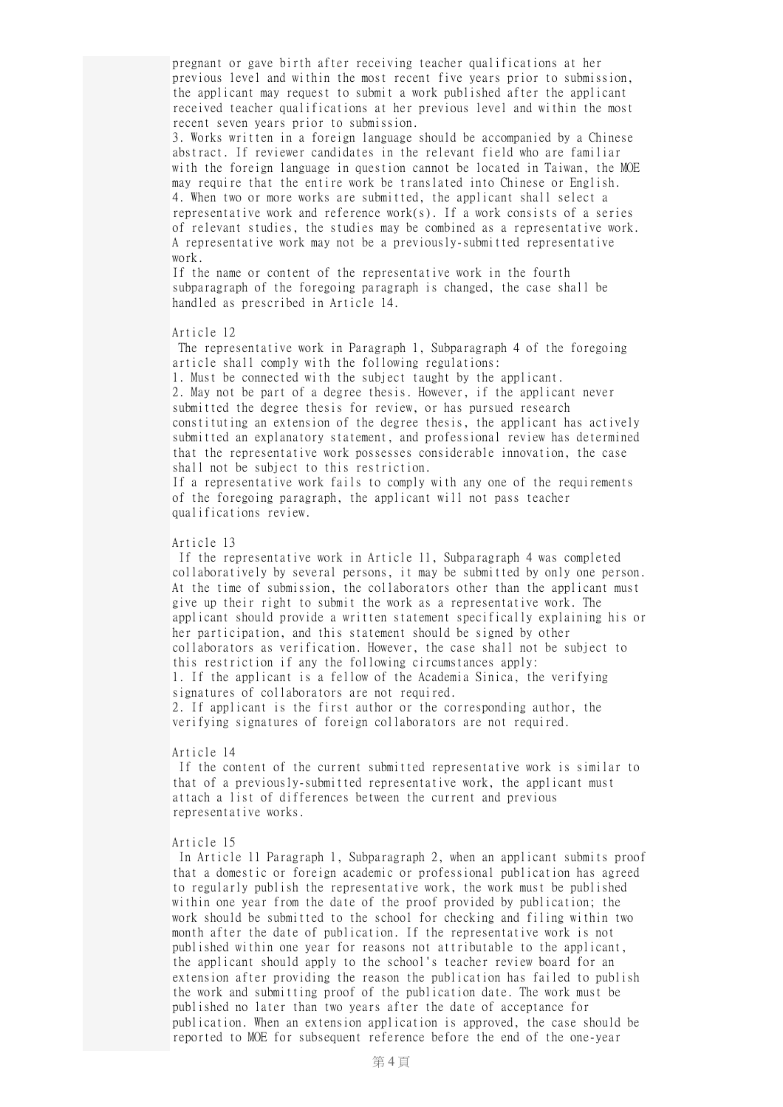pregnant or gave birth after receiving teacher qualifications at her previous level and within the most recent five years prior to submission, the applicant may request to submit a work published after the applicant received teacher qualifications at her previous level and within the most recent seven years prior to submission.

3. Works written in a foreign language should be accompanied by a Chinese abstract. If reviewer candidates in the relevant field who are familiar with the foreign language in question cannot be located in Taiwan, the MOE may require that the entire work be translated into Chinese or English. 4. When two or more works are submitted, the applicant shall select a representative work and reference work(s). If a work consists of a series of relevant studies, the studies may be combined as a representative work. A representative work may not be a previously-submitted representative work.

If the name or content of the representative work in the fourth subparagraph of the foregoing paragraph is changed, the case shall be handled as prescribed in Article 14.

### Article 12

The representative work in Paragraph 1, Subparagraph 4 of the foregoing article shall comply with the following regulations:

1. Must be connected with the subject taught by the applicant. 2. May not be part of a degree thesis. However, if the applicant never submitted the degree thesis for review, or has pursued research constituting an extension of the degree thesis, the applicant has actively submitted an explanatory statement, and professional review has determined that the representative work possesses considerable innovation, the case shall not be subject to this restriction.

If a representative work fails to comply with any one of the requirements of the foregoing paragraph, the applicant will not pass teacher qualifications review.

# Article 13

If the representative work in Article 11, Subparagraph 4 was completed collaboratively by several persons, it may be submitted by only one person. At the time of submission, the collaborators other than the applicant must give up their right to submit the work as a representative work. The applicant should provide a written statement specifically explaining his or her participation, and this statement should be signed by other collaborators as verification. However, the case shall not be subject to this restriction if any the following circumstances apply: 1. If the applicant is a fellow of the Academia Sinica, the verifying signatures of collaborators are not required. 2. If applicant is the first author or the corresponding author, the verifying signatures of foreign collaborators are not required.

#### Article 14

If the content of the current submitted representative work is similar to that of a previously-submitted representative work, the applicant must attach a list of differences between the current and previous representative works.

# Article 15

In Article 11 Paragraph 1, Subparagraph 2, when an applicant submits proof that a domestic or foreign academic or professional publication has agreed to regularly publish the representative work, the work must be published within one year from the date of the proof provided by publication; the work should be submitted to the school for checking and filing within two month after the date of publication. If the representative work is not published within one year for reasons not attributable to the applicant, the applicant should apply to the school's teacher review board for an extension after providing the reason the publication has failed to publish the work and submitting proof of the publication date. The work must be published no later than two years after the date of acceptance for publication. When an extension application is approved, the case should be reported to MOE for subsequent reference before the end of the one-year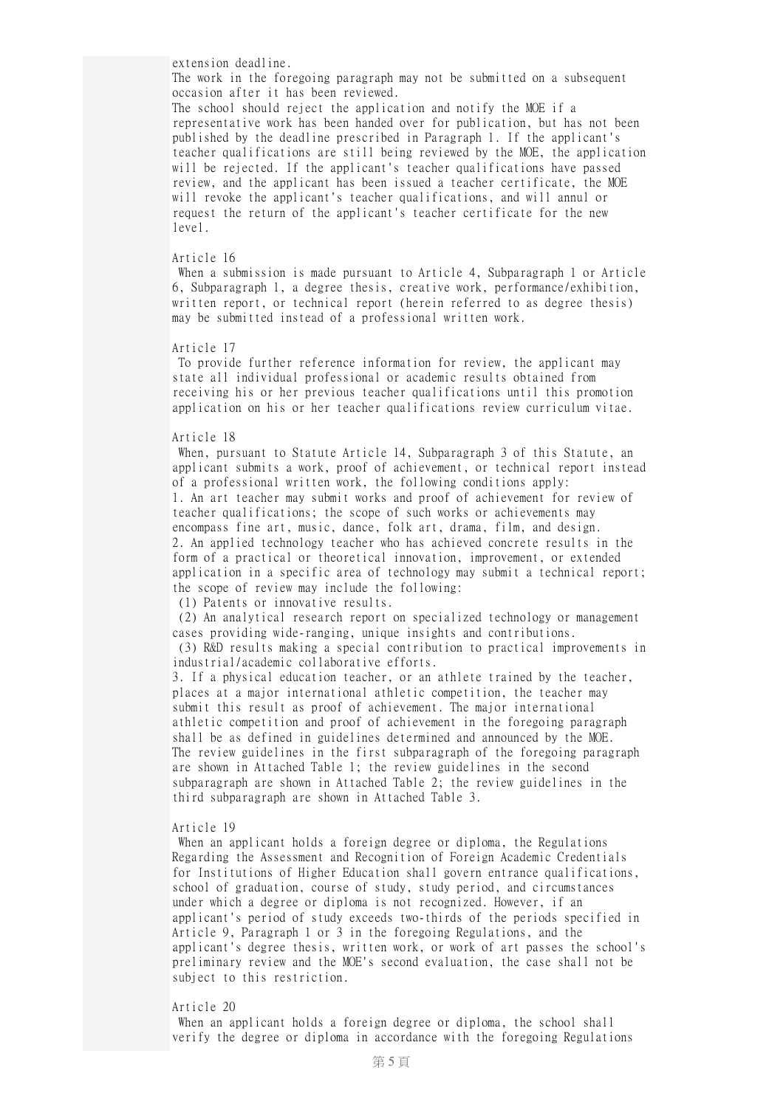extension deadline.

The work in the foregoing paragraph may not be submitted on a subsequent occasion after it has been reviewed.

The school should reject the application and notify the MOE if a representative work has been handed over for publication, but has not been published by the deadline prescribed in Paragraph 1. If the applicant's teacher qualifications are still being reviewed by the MOE, the application will be rejected. If the applicant's teacher qualifications have passed review, and the applicant has been issued a teacher certificate, the MOE will revoke the applicant's teacher qualifications, and will annul or request the return of the applicant's teacher certificate for the new level.

# Article 16

When a submission is made pursuant to Article 4, Subparagraph 1 or Article 6, Subparagraph 1, a degree thesis, creative work, performance/exhibition, written report, or technical report (herein referred to as degree thesis) may be submitted instead of a professional written work.

#### Article 17

To provide further reference information for review, the applicant may state all individual professional or academic results obtained from receiving his or her previous teacher qualifications until this promotion application on his or her teacher qualifications review curriculum vitae.

#### Article 18

When, pursuant to Statute Article 14, Subparagraph 3 of this Statute, an applicant submits a work, proof of achievement, or technical report instead of a professional written work, the following conditions apply: 1. An art teacher may submit works and proof of achievement for review of teacher qualifications; the scope of such works or achievements may encompass fine art, music, dance, folk art, drama, film, and design. 2. An applied technology teacher who has achieved concrete results in the form of a practical or theoretical innovation, improvement, or extended application in a specific area of technology may submit a technical report; the scope of review may include the following:

(1) Patents or innovative results.

(2) An analytical research report on specialized technology or management cases providing wide-ranging, unique insights and contributions. (3) R&D results making a special contribution to practical improvements in

industrial/academic collaborative efforts. 3. If a physical education teacher, or an athlete trained by the teacher, places at a major international athletic competition, the teacher may submit this result as proof of achievement. The major international athletic competition and proof of achievement in the foregoing paragraph shall be as defined in guidelines determined and announced by the MOE.

The review guidelines in the first subparagraph of the foregoing paragraph are shown in Attached Table 1; the review guidelines in the second subparagraph are shown in Attached Table 2; the review guidelines in the third subparagraph are shown in Attached Table 3.

## Article 19

When an applicant holds a foreign degree or diploma, the Regulations Regarding the Assessment and Recognition of Foreign Academic Credentials for Institutions of Higher Education shall govern entrance qualifications, school of graduation, course of study, study period, and circumstances under which a degree or diploma is not recognized. However, if an applicant's period of study exceeds two-thirds of the periods specified in Article 9, Paragraph 1 or 3 in the foregoing Regulations, and the applicant's degree thesis, written work, or work of art passes the school's preliminary review and the MOE's second evaluation, the case shall not be subject to this restriction.

#### Article 20

When an applicant holds a foreign degree or diploma, the school shall verify the degree or diploma in accordance with the foregoing Regulations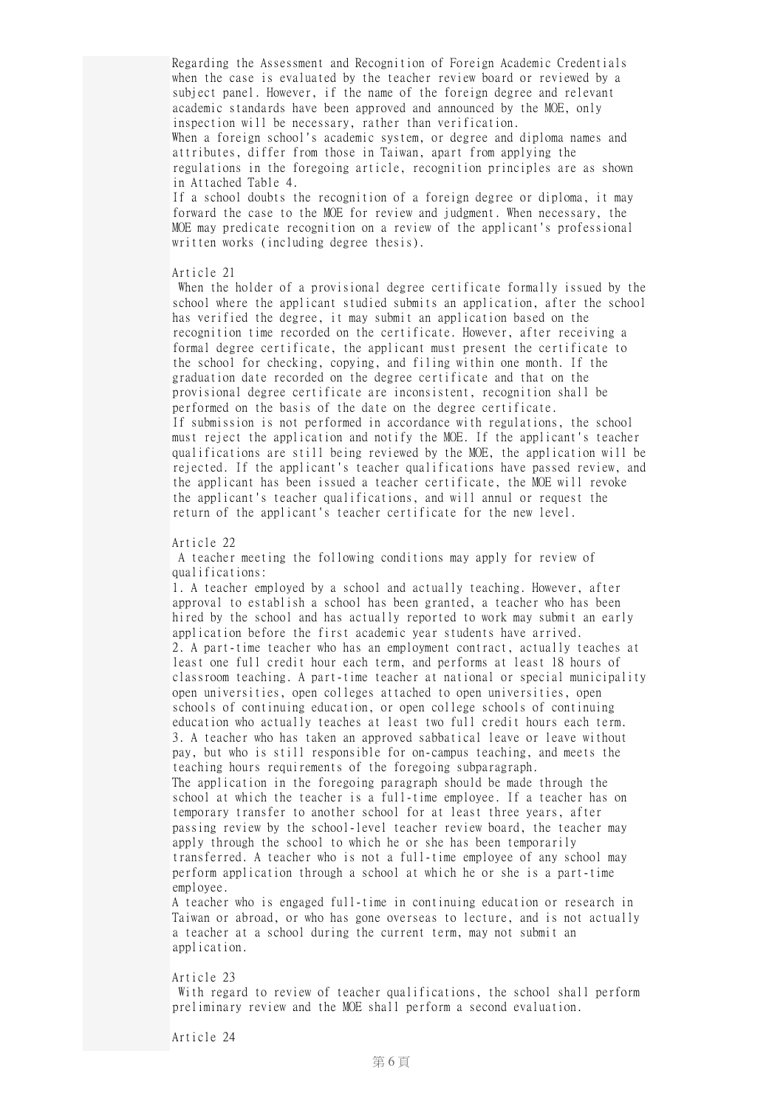Regarding the Assessment and Recognition of Foreign Academic Credentials when the case is evaluated by the teacher review board or reviewed by a subject panel. However, if the name of the foreign degree and relevant academic standards have been approved and announced by the MOE, only inspection will be necessary, rather than verification.

When a foreign school's academic system, or degree and diploma names and attributes, differ from those in Taiwan, apart from applying the regulations in the foregoing article, recognition principles are as shown in Attached Table 4.

If a school doubts the recognition of a foreign degree or diploma, it may forward the case to the MOE for review and judgment. When necessary, the MOE may predicate recognition on a review of the applicant's professional written works (including degree thesis).

Article 21

When the holder of a provisional degree certificate formally issued by the school where the applicant studied submits an application, after the school has verified the degree, it may submit an application based on the recognition time recorded on the certificate. However, after receiving a formal degree certificate, the applicant must present the certificate to the school for checking, copying, and filing within one month. If the graduation date recorded on the degree certificate and that on the provisional degree certificate are inconsistent, recognition shall be performed on the basis of the date on the degree certificate. If submission is not performed in accordance with regulations, the school must reject the application and notify the MOE. If the applicant's teacher qualifications are still being reviewed by the MOE, the application will be rejected. If the applicant's teacher qualifications have passed review, and the applicant has been issued a teacher certificate, the MOE will revoke the applicant's teacher qualifications, and will annul or request the return of the applicant's teacher certificate for the new level.

### Article 22

A teacher meeting the following conditions may apply for review of qualifications:

1. A teacher employed by a school and actually teaching. However, after approval to establish a school has been granted, a teacher who has been hired by the school and has actually reported to work may submit an early application before the first academic year students have arrived. 2. A part-time teacher who has an employment contract, actually teaches at least one full credit hour each term, and performs at least 18 hours of classroom teaching. A part-time teacher at national or special municipality open universities, open colleges attached to open universities, open schools of continuing education, or open college schools of continuing education who actually teaches at least two full credit hours each term. 3. A teacher who has taken an approved sabbatical leave or leave without pay, but who is still responsible for on-campus teaching, and meets the teaching hours requirements of the foregoing subparagraph. The application in the foregoing paragraph should be made through the school at which the teacher is a full-time employee. If a teacher has on temporary transfer to another school for at least three years, after passing review by the school-level teacher review board, the teacher may apply through the school to which he or she has been temporarily transferred. A teacher who is not a full-time employee of any school may perform application through a school at which he or she is a part-time employee.

A teacher who is engaged full-time in continuing education or research in Taiwan or abroad, or who has gone overseas to lecture, and is not actually a teacher at a school during the current term, may not submit an application.

### Article 23

With regard to review of teacher qualifications, the school shall perform preliminary review and the MOE shall perform a second evaluation.

Article 24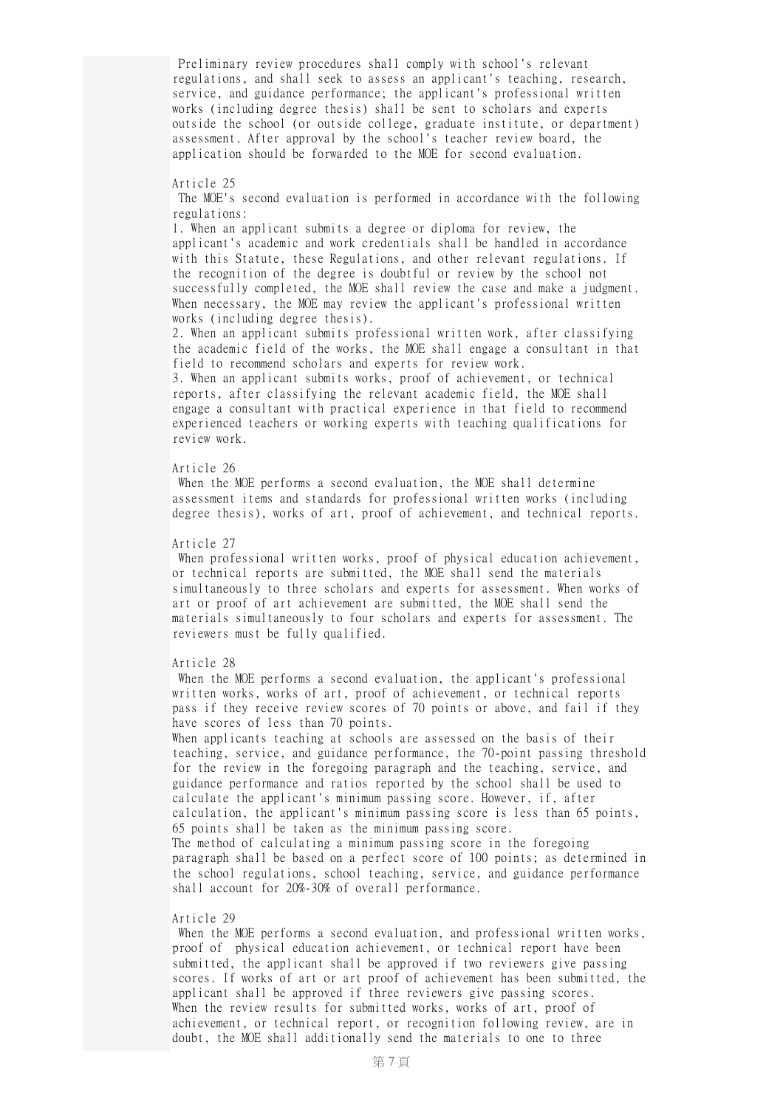Preliminary review procedures shall comply with school's relevant regulations, and shall seek to assess an applicant's teaching, research, service, and guidance performance; the applicant's professional written works (including degree thesis) shall be sent to scholars and experts outside the school (or outside college, graduate institute, or department) assessment. After approval by the school's teacher review board, the application should be forwarded to the MOE for second evaluation.

# Article 25

The MOE's second evaluation is performed in accordance with the following regulations:

1. When an applicant submits a degree or diploma for review, the applicant's academic and work credentials shall be handled in accordance with this Statute, these Regulations, and other relevant regulations. If the recognition of the degree is doubtful or review by the school not successfully completed, the MOE shall review the case and make a judgment. When necessary, the MOE may review the applicant's professional written works (including degree thesis).

2. When an applicant submits professional written work, after classifying the academic field of the works, the MOE shall engage a consultant in that field to recommend scholars and experts for review work.

3. When an applicant submits works, proof of achievement, or technical reports, after classifying the relevant academic field, the MOE shall engage a consultant with practical experience in that field to recommend experienced teachers or working experts with teaching qualifications for review work.

## Article 26

When the MOE performs a second evaluation, the MOE shall determine assessment items and standards for professional written works (including degree thesis), works of art, proof of achievement, and technical reports.

#### Article 27

When professional written works, proof of physical education achievement, or technical reports are submitted, the MOE shall send the materials simultaneously to three scholars and experts for assessment. When works of art or proof of art achievement are submitted, the MOE shall send the materials simultaneously to four scholars and experts for assessment. The reviewers must be fully qualified.

#### Article 28

When the MOE performs a second evaluation, the applicant's professional written works, works of art, proof of achievement, or technical reports pass if they receive review scores of 70 points or above, and fail if they have scores of less than 70 points.

When applicants teaching at schools are assessed on the basis of their teaching, service, and guidance performance, the 70-point passing threshold for the review in the foregoing paragraph and the teaching, service, and guidance performance and ratios reported by the school shall be used to calculate the applicant's minimum passing score. However, if, after calculation, the applicant's minimum passing score is less than 65 points, 65 points shall be taken as the minimum passing score. The method of calculating a minimum passing score in the foregoing paragraph shall be based on a perfect score of 100 points; as determined in the school regulations, school teaching, service, and guidance performance shall account for 20%-30% of overall performance.

### Article 29

When the MOE performs a second evaluation, and professional written works, proof of physical education achievement, or technical report have been submitted, the applicant shall be approved if two reviewers give passing scores. If works of art or art proof of achievement has been submitted, the applicant shall be approved if three reviewers give passing scores. When the review results for submitted works, works of art, proof of achievement, or technical report, or recognition following review, are in doubt, the MOE shall additionally send the materials to one to three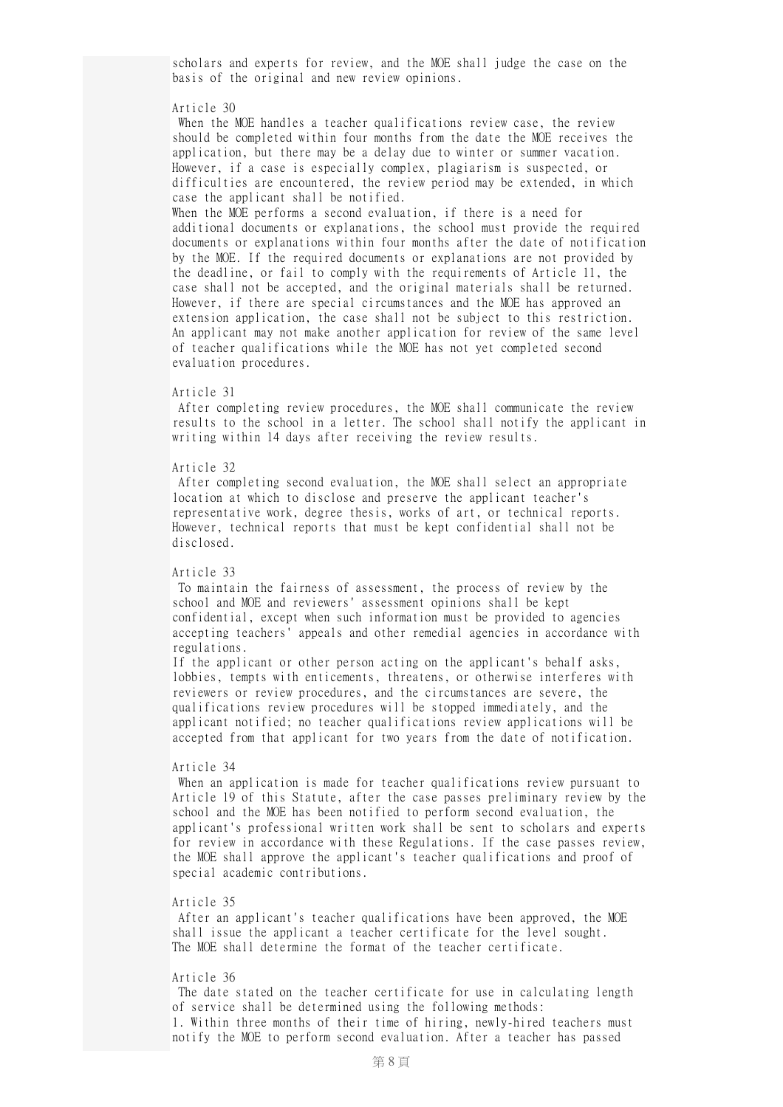scholars and experts for review, and the MOE shall judge the case on the basis of the original and new review opinions.

# Article 30

When the MOE handles a teacher qualifications review case, the review should be completed within four months from the date the MOE receives the application, but there may be a delay due to winter or summer vacation. However, if a case is especially complex, plagiarism is suspected, or difficulties are encountered, the review period may be extended, in which case the applicant shall be notified. When the MOE performs a second evaluation, if there is a need for additional documents or explanations, the school must provide the required documents or explanations within four months after the date of notification by the MOE. If the required documents or explanations are not provided by the deadline, or fail to comply with the requirements of Article 11, the case shall not be accepted, and the original materials shall be returned. However, if there are special circumstances and the MOE has approved an extension application, the case shall not be subject to this restriction. An applicant may not make another application for review of the same level of teacher qualifications while the MOE has not yet completed second evaluation procedures.

#### Article 31

After completing review procedures, the MOE shall communicate the review results to the school in a letter. The school shall notify the applicant in writing within 14 days after receiving the review results.

### Article 32

After completing second evaluation, the MOE shall select an appropriate location at which to disclose and preserve the applicant teacher's representative work, degree thesis, works of art, or technical reports. However, technical reports that must be kept confidential shall not be disclosed.

## Article 33

To maintain the fairness of assessment, the process of review by the school and MOE and reviewers' assessment opinions shall be kept confidential, except when such information must be provided to agencies accepting teachers' appeals and other remedial agencies in accordance with regulations.

If the applicant or other person acting on the applicant's behalf asks, lobbies, tempts with enticements, threatens, or otherwise interferes with reviewers or review procedures, and the circumstances are severe, the qualifications review procedures will be stopped immediately, and the applicant notified; no teacher qualifications review applications will be accepted from that applicant for two years from the date of notification.

## Article 34

When an application is made for teacher qualifications review pursuant to Article 19 of this Statute, after the case passes preliminary review by the school and the MOE has been notified to perform second evaluation, the applicant's professional written work shall be sent to scholars and experts for review in accordance with these Regulations. If the case passes review, the MOE shall approve the applicant's teacher qualifications and proof of special academic contributions.

### Article 35

After an applicant's teacher qualifications have been approved, the MOE shall issue the applicant a teacher certificate for the level sought. The MOE shall determine the format of the teacher certificate.

## Article 36

The date stated on the teacher certificate for use in calculating length of service shall be determined using the following methods: 1. Within three months of their time of hiring, newly-hired teachers must notify the MOE to perform second evaluation. After a teacher has passed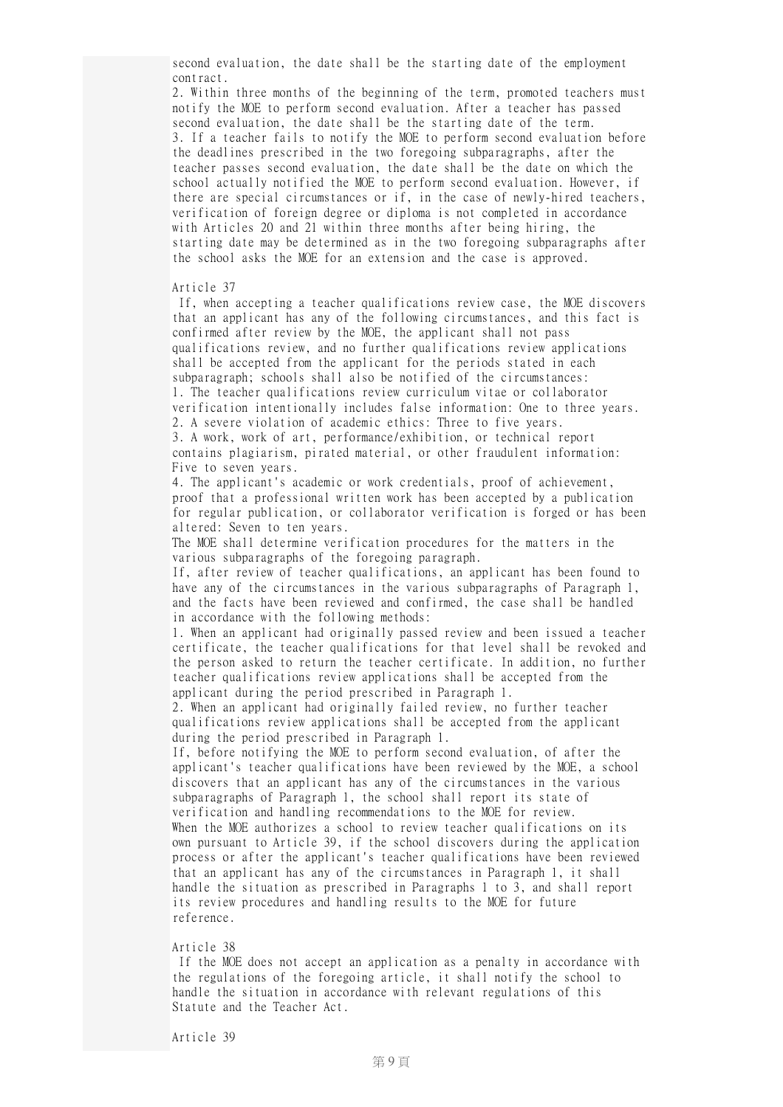second evaluation, the date shall be the starting date of the employment contract.

2. Within three months of the beginning of the term, promoted teachers must notify the MOE to perform second evaluation. After a teacher has passed second evaluation, the date shall be the starting date of the term. 3. If a teacher fails to notify the MOE to perform second evaluation before the deadlines prescribed in the two foregoing subparagraphs, after the teacher passes second evaluation, the date shall be the date on which the school actually notified the MOE to perform second evaluation. However, if there are special circumstances or if, in the case of newly-hired teachers, verification of foreign degree or diploma is not completed in accordance with Articles 20 and 21 within three months after being hiring, the starting date may be determined as in the two foregoing subparagraphs after the school asks the MOE for an extension and the case is approved.

# Article 37

If, when accepting a teacher qualifications review case, the MOE discovers that an applicant has any of the following circumstances, and this fact is confirmed after review by the MOE, the applicant shall not pass qualifications review, and no further qualifications review applications shall be accepted from the applicant for the periods stated in each subparagraph; schools shall also be notified of the circumstances: 1. The teacher qualifications review curriculum vitae or collaborator verification intentionally includes false information: One to three years. 2. A severe violation of academic ethics: Three to five years. 3. A work, work of art, performance/exhibition, or technical report contains plagiarism, pirated material, or other fraudulent information: Five to seven years.

4. The applicant's academic or work credentials, proof of achievement, proof that a professional written work has been accepted by a publication for regular publication, or collaborator verification is forged or has been altered: Seven to ten years.

The MOE shall determine verification procedures for the matters in the various subparagraphs of the foregoing paragraph.

If, after review of teacher qualifications, an applicant has been found to have any of the circumstances in the various subparagraphs of Paragraph 1, and the facts have been reviewed and confirmed, the case shall be handled in accordance with the following methods:

1. When an applicant had originally passed review and been issued a teacher certificate, the teacher qualifications for that level shall be revoked and the person asked to return the teacher certificate. In addition, no further teacher qualifications review applications shall be accepted from the applicant during the period prescribed in Paragraph 1.

2. When an applicant had originally failed review, no further teacher qualifications review applications shall be accepted from the applicant during the period prescribed in Paragraph 1.

If, before notifying the MOE to perform second evaluation, of after the applicant's teacher qualifications have been reviewed by the MOE, a school discovers that an applicant has any of the circumstances in the various subparagraphs of Paragraph 1, the school shall report its state of verification and handling recommendations to the MOE for review. When the MOE authorizes a school to review teacher qualifications on its own pursuant to Article 39, if the school discovers during the application process or after the applicant's teacher qualifications have been reviewed that an applicant has any of the circumstances in Paragraph 1, it shall handle the situation as prescribed in Paragraphs 1 to 3, and shall report its review procedures and handling results to the MOE for future reference.

#### Article 38

If the MOE does not accept an application as a penalty in accordance with the regulations of the foregoing article, it shall notify the school to handle the situation in accordance with relevant regulations of this Statute and the Teacher Act.

Article 39